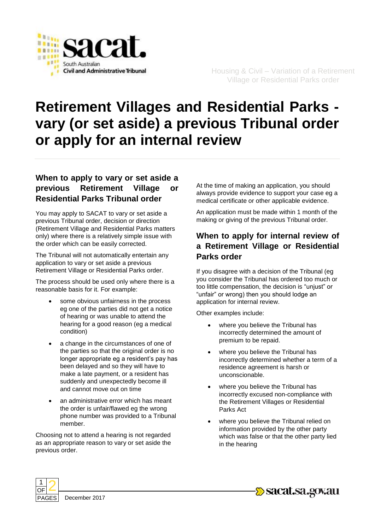

# **Retirement Villages and Residential Parks vary (or set aside) a previous Tribunal order or apply for an internal review**

## **When to apply to vary or set aside a previous Retirement Village or Residential Parks Tribunal order**

You may apply to SACAT to vary or set aside a previous Tribunal order, decision or direction (Retirement Village and Residential Parks matters only) where there is a relatively simple issue with the order which can be easily corrected.

The Tribunal will not automatically entertain any application to vary or set aside a previous Retirement Village or Residential Parks order.

The process should be used only where there is a reasonable basis for it. For example:

- some obvious unfairness in the process eg one of the parties did not get a notice of hearing or was unable to attend the hearing for a good reason (eg a medical condition)
- a change in the circumstances of one of the parties so that the original order is no longer appropriate eg a resident's pay has been delayed and so they will have to make a late payment, or a resident has suddenly and unexpectedly become ill and cannot move out on time
- an administrative error which has meant the order is unfair/flawed eg the wrong phone number was provided to a Tribunal member.

Choosing not to attend a hearing is not regarded as an appropriate reason to vary or set aside the previous order.

At the time of making an application, you should always provide evidence to support your case eg a medical certificate or other applicable evidence.

An application must be made within 1 month of the making or giving of the previous Tribunal order.

## **When to apply for internal review of a Retirement Village or Residential Parks order**

If you disagree with a decision of the Tribunal (eg you consider the Tribunal has ordered too much or too little compensation, the decision is "unjust" or "unfair" or wrong) then you should lodge an application for internal review.

Other examples include:

- where you believe the Tribunal has incorrectly determined the amount of premium to be repaid.
- where you believe the Tribunal has incorrectly determined whether a term of a residence agreement is harsh or unconscionable.
- where you believe the Tribunal has incorrectly excused non-compliance with the Retirement Villages or Residential Parks Act
- where you believe the Tribunal relied on information provided by the other party which was false or that the other party lied in the hearing